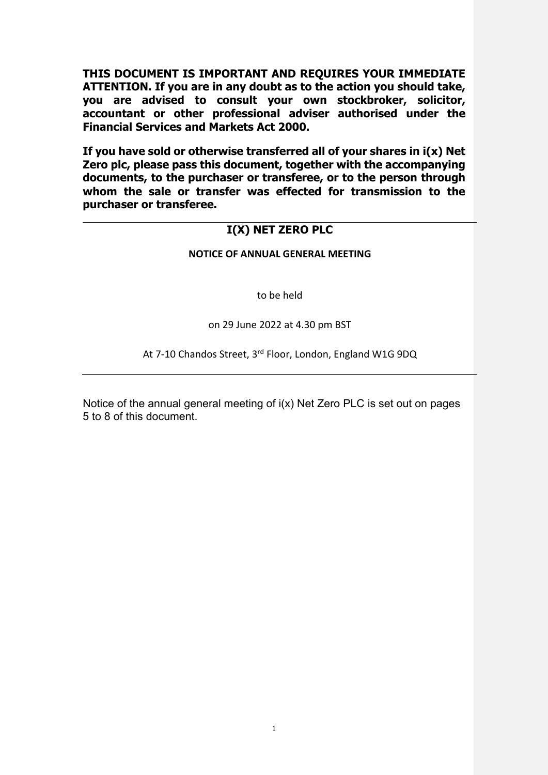**THIS DOCUMENT IS IMPORTANT AND REQUIRES YOUR IMMEDIATE ATTENTION. If you are in any doubt as to the action you should take, you are advised to consult your own stockbroker, solicitor, accountant or other professional adviser authorised under the Financial Services and Markets Act 2000.** 

**If you have sold or otherwise transferred all of your shares in i(x) Net Zero plc, please pass this document, together with the accompanying documents, to the purchaser or transferee, or to the person through whom the sale or transfer was effected for transmission to the purchaser or transferee.** 

# **I(X) NET ZERO PLC**

# **NOTICE OF ANNUAL GENERAL MEETING**

to be held

on 29 June 2022 at 4.30 pm BST

At 7-10 Chandos Street, 3rd Floor, London, England W1G 9DQ

Notice of the annual general meeting of i(x) Net Zero PLC is set out on pages 5 to 8 of this document.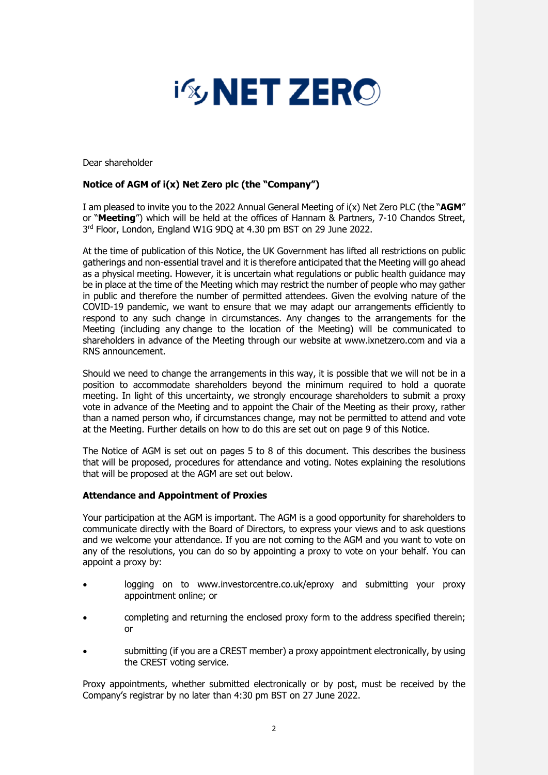

Dear shareholder

# **Notice of AGM of i(x) Net Zero plc (the "Company")**

I am pleased to invite you to the 2022 Annual General Meeting of i(x) Net Zero PLC (the "**AGM**" or "**Meeting**") which will be held at the offices of Hannam & Partners, 7-10 Chandos Street, 3<sup>rd</sup> Floor, London, England W1G 9DQ at 4.30 pm BST on 29 June 2022.

At the time of publication of this Notice, the UK Government has lifted all restrictions on public gatherings and non-essential travel and it is therefore anticipated that the Meeting will go ahead as a physical meeting. However, it is uncertain what regulations or public health guidance may be in place at the time of the Meeting which may restrict the number of people who may gather in public and therefore the number of permitted attendees. Given the evolving nature of the COVID-19 pandemic, we want to ensure that we may adapt our arrangements efficiently to respond to any such change in circumstances. Any changes to the arrangements for the Meeting (including any change to the location of the Meeting) will be communicated to shareholders in advance of the Meeting through our website at www.ixnetzero.com and via a RNS announcement.

Should we need to change the arrangements in this way, it is possible that we will not be in a position to accommodate shareholders beyond the minimum required to hold a quorate meeting. In light of this uncertainty, we strongly encourage shareholders to submit a proxy vote in advance of the Meeting and to appoint the Chair of the Meeting as their proxy, rather than a named person who, if circumstances change, may not be permitted to attend and vote at the Meeting. Further details on how to do this are set out on page 9 of this Notice.

The Notice of AGM is set out on pages 5 to 8 of this document. This describes the business that will be proposed, procedures for attendance and voting. Notes explaining the resolutions that will be proposed at the AGM are set out below.

## **Attendance and Appointment of Proxies**

Your participation at the AGM is important. The AGM is a good opportunity for shareholders to communicate directly with the Board of Directors, to express your views and to ask questions and we welcome your attendance. If you are not coming to the AGM and you want to vote on any of the resolutions, you can do so by appointing a proxy to vote on your behalf. You can appoint a proxy by:

- logging on to www.investorcentre.co.uk/eproxy and submitting your proxy appointment online; or
- completing and returning the enclosed proxy form to the address specified therein; or
- submitting (if you are a CREST member) a proxy appointment electronically, by using the CREST voting service.

Proxy appointments, whether submitted electronically or by post, must be received by the Company's registrar by no later than 4:30 pm BST on 27 June 2022.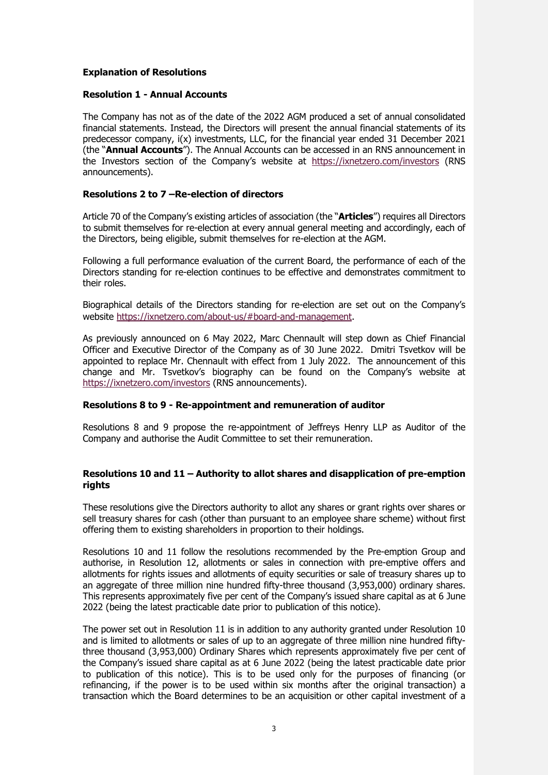## **Explanation of Resolutions**

## **Resolution 1 - Annual Accounts**

The Company has not as of the date of the 2022 AGM produced a set of annual consolidated financial statements. Instead, the Directors will present the annual financial statements of its predecessor company, i(x) investments, LLC, for the financial year ended 31 December 2021 (the "**Annual Accounts**"). The Annual Accounts can be accessed in an RNS announcement in the Investors section of the Company's website at https://ixnetzero.com/investors (RNS announcements).

## **Resolutions 2 to 7 –Re-election of directors**

Article 70 of the Company's existing articles of association (the "**Articles**") requires all Directors to submit themselves for re-election at every annual general meeting and accordingly, each of the Directors, being eligible, submit themselves for re-election at the AGM.

Following a full performance evaluation of the current Board, the performance of each of the Directors standing for re-election continues to be effective and demonstrates commitment to their roles.

Biographical details of the Directors standing for re-election are set out on the Company's website https://ixnetzero.com/about-us/#board-and-management.

As previously announced on 6 May 2022, Marc Chennault will step down as Chief Financial Officer and Executive Director of the Company as of 30 June 2022. Dmitri Tsvetkov will be appointed to replace Mr. Chennault with effect from 1 July 2022. The announcement of this change and Mr. Tsvetkov's biography can be found on the Company's website at https://ixnetzero.com/investors (RNS announcements).

## **Resolutions 8 to 9 - Re-appointment and remuneration of auditor**

Resolutions 8 and 9 propose the re-appointment of Jeffreys Henry LLP as Auditor of the Company and authorise the Audit Committee to set their remuneration.

## **Resolutions 10 and 11 – Authority to allot shares and disapplication of pre-emption rights**

These resolutions give the Directors authority to allot any shares or grant rights over shares or sell treasury shares for cash (other than pursuant to an employee share scheme) without first offering them to existing shareholders in proportion to their holdings.

Resolutions 10 and 11 follow the resolutions recommended by the Pre-emption Group and authorise, in Resolution 12, allotments or sales in connection with pre-emptive offers and allotments for rights issues and allotments of equity securities or sale of treasury shares up to an aggregate of three million nine hundred fifty-three thousand (3,953,000) ordinary shares. This represents approximately five per cent of the Company's issued share capital as at 6 June 2022 (being the latest practicable date prior to publication of this notice).

The power set out in Resolution 11 is in addition to any authority granted under Resolution 10 and is limited to allotments or sales of up to an aggregate of three million nine hundred fiftythree thousand (3,953,000) Ordinary Shares which represents approximately five per cent of the Company's issued share capital as at 6 June 2022 (being the latest practicable date prior to publication of this notice). This is to be used only for the purposes of financing (or refinancing, if the power is to be used within six months after the original transaction) a transaction which the Board determines to be an acquisition or other capital investment of a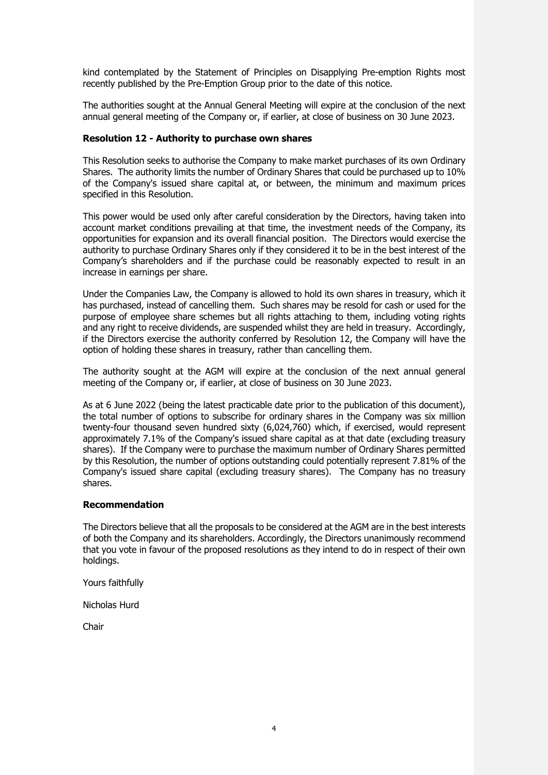kind contemplated by the Statement of Principles on Disapplying Pre-emption Rights most recently published by the Pre-Emption Group prior to the date of this notice.

The authorities sought at the Annual General Meeting will expire at the conclusion of the next annual general meeting of the Company or, if earlier, at close of business on 30 June 2023.

#### **Resolution 12 - Authority to purchase own shares**

This Resolution seeks to authorise the Company to make market purchases of its own Ordinary Shares. The authority limits the number of Ordinary Shares that could be purchased up to 10% of the Company's issued share capital at, or between, the minimum and maximum prices specified in this Resolution.

This power would be used only after careful consideration by the Directors, having taken into account market conditions prevailing at that time, the investment needs of the Company, its opportunities for expansion and its overall financial position. The Directors would exercise the authority to purchase Ordinary Shares only if they considered it to be in the best interest of the Company's shareholders and if the purchase could be reasonably expected to result in an increase in earnings per share.

Under the Companies Law, the Company is allowed to hold its own shares in treasury, which it has purchased, instead of cancelling them. Such shares may be resold for cash or used for the purpose of employee share schemes but all rights attaching to them, including voting rights and any right to receive dividends, are suspended whilst they are held in treasury. Accordingly, if the Directors exercise the authority conferred by Resolution 12, the Company will have the option of holding these shares in treasury, rather than cancelling them.

The authority sought at the AGM will expire at the conclusion of the next annual general meeting of the Company or, if earlier, at close of business on 30 June 2023.

As at 6 June 2022 (being the latest practicable date prior to the publication of this document), the total number of options to subscribe for ordinary shares in the Company was six million twenty-four thousand seven hundred sixty (6,024,760) which, if exercised, would represent approximately 7.1% of the Company's issued share capital as at that date (excluding treasury shares). If the Company were to purchase the maximum number of Ordinary Shares permitted by this Resolution, the number of options outstanding could potentially represent 7.81% of the Company's issued share capital (excluding treasury shares). The Company has no treasury shares.

#### **Recommendation**

The Directors believe that all the proposals to be considered at the AGM are in the best interests of both the Company and its shareholders. Accordingly, the Directors unanimously recommend that you vote in favour of the proposed resolutions as they intend to do in respect of their own holdings.

Yours faithfully

Nicholas Hurd

Chair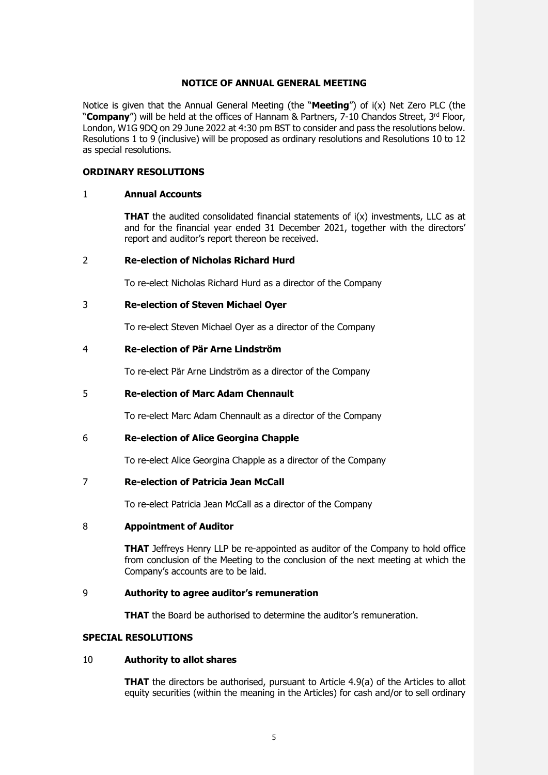## **NOTICE OF ANNUAL GENERAL MEETING**

Notice is given that the Annual General Meeting (the "**Meeting**") of i(x) Net Zero PLC (the "**Company**") will be held at the offices of Hannam & Partners, 7-10 Chandos Street, 3<sup>rd</sup> Floor, London, W1G 9DQ on 29 June 2022 at 4:30 pm BST to consider and pass the resolutions below. Resolutions 1 to 9 (inclusive) will be proposed as ordinary resolutions and Resolutions 10 to 12 as special resolutions.

#### **ORDINARY RESOLUTIONS**

#### 1 **Annual Accounts**

**THAT** the audited consolidated financial statements of  $i(x)$  investments, LLC as at and for the financial year ended 31 December 2021, together with the directors' report and auditor's report thereon be received.

#### 2 **Re-election of Nicholas Richard Hurd**

To re-elect Nicholas Richard Hurd as a director of the Company

#### 3 **Re-election of Steven Michael Oyer**

To re-elect Steven Michael Oyer as a director of the Company

#### 4 **Re-election of Pär Arne Lindström**

To re-elect Pär Arne Lindström as a director of the Company

## 5 **Re-election of Marc Adam Chennault**

To re-elect Marc Adam Chennault as a director of the Company

## 6 **Re-election of Alice Georgina Chapple**

To re-elect Alice Georgina Chapple as a director of the Company

## 7 **Re-election of Patricia Jean McCall**

To re-elect Patricia Jean McCall as a director of the Company

#### 8 **Appointment of Auditor**

**THAT** Jeffreys Henry LLP be re-appointed as auditor of the Company to hold office from conclusion of the Meeting to the conclusion of the next meeting at which the Company's accounts are to be laid.

#### 9 **Authority to agree auditor's remuneration**

**THAT** the Board be authorised to determine the auditor's remuneration.

#### **SPECIAL RESOLUTIONS**

#### 10 **Authority to allot shares**

**THAT** the directors be authorised, pursuant to Article 4.9(a) of the Articles to allot equity securities (within the meaning in the Articles) for cash and/or to sell ordinary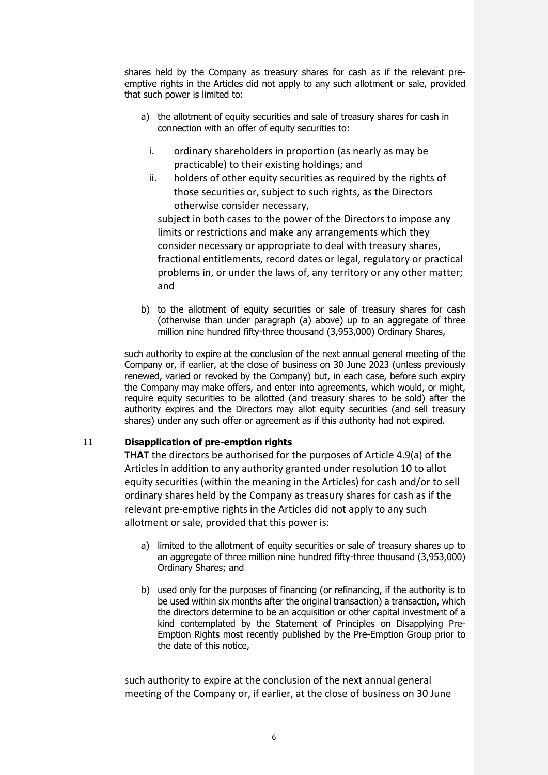shares held by the Company as treasury shares for cash as if the relevant preemptive rights in the Articles did not apply to any such allotment or sale, provided that such power is limited to:

- a) the allotment of equity securities and sale of treasury shares for cash in connection with an offer of equity securities to:
	- i. ordinary shareholders in proportion (as nearly as may be practicable) to their existing holdings; and
	- ii. holders of other equity securities as required by the rights of those securities or, subject to such rights, as the Directors otherwise consider necessary,

subject in both cases to the power of the Directors to impose any limits or restrictions and make any arrangements which they consider necessary or appropriate to deal with treasury shares, fractional entitlements, record dates or legal, regulatory or practical problems in, or under the laws of, any territory or any other matter; and

b) to the allotment of equity securities or sale of treasury shares for cash (otherwise than under paragraph (a) above) up to an aggregate of three million nine hundred fifty-three thousand (3,953,000) Ordinary Shares,

such authority to expire at the conclusion of the next annual general meeting of the Company or, if earlier, at the close of business on 30 June 2023 (unless previously renewed, varied or revoked by the Company) but, in each case, before such expiry the Company may make offers, and enter into agreements, which would, or might, require equity securities to be allotted (and treasury shares to be sold) after the authority expires and the Directors may allot equity securities (and sell treasury shares) under any such offer or agreement as if this authority had not expired.

# 11 **Disapplication of pre-emption rights**

**THAT** the directors be authorised for the purposes of Article 4.9(a) of the Articles in addition to any authority granted under resolution 10 to allot equity securities (within the meaning in the Articles) for cash and/or to sell ordinary shares held by the Company as treasury shares for cash as if the relevant pre-emptive rights in the Articles did not apply to any such allotment or sale, provided that this power is:

- a) limited to the allotment of equity securities or sale of treasury shares up to an aggregate of three million nine hundred fifty-three thousand (3,953,000) Ordinary Shares; and
- b) used only for the purposes of financing (or refinancing, if the authority is to be used within six months after the original transaction) a transaction, which the directors determine to be an acquisition or other capital investment of a kind contemplated by the Statement of Principles on Disapplying Pre-Emption Rights most recently published by the Pre-Emption Group prior to the date of this notice,

such authority to expire at the conclusion of the next annual general meeting of the Company or, if earlier, at the close of business on 30 June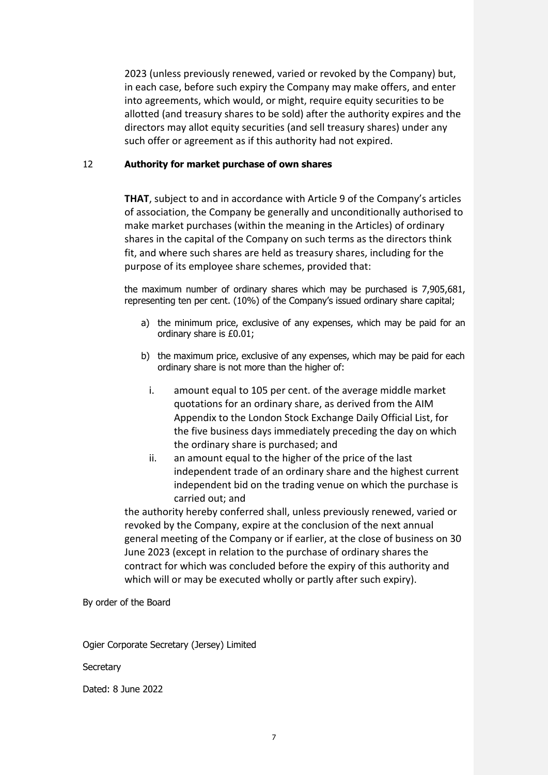2023 (unless previously renewed, varied or revoked by the Company) but, in each case, before such expiry the Company may make offers, and enter into agreements, which would, or might, require equity securities to be allotted (and treasury shares to be sold) after the authority expires and the directors may allot equity securities (and sell treasury shares) under any such offer or agreement as if this authority had not expired.

## 12 **Authority for market purchase of own shares**

**THAT**, subject to and in accordance with Article 9 of the Company's articles of association, the Company be generally and unconditionally authorised to make market purchases (within the meaning in the Articles) of ordinary shares in the capital of the Company on such terms as the directors think fit, and where such shares are held as treasury shares, including for the purpose of its employee share schemes, provided that:

the maximum number of ordinary shares which may be purchased is 7,905,681, representing ten per cent. (10%) of the Company's issued ordinary share capital;

- a) the minimum price, exclusive of any expenses, which may be paid for an ordinary share is £0.01;
- b) the maximum price, exclusive of any expenses, which may be paid for each ordinary share is not more than the higher of:
	- i. amount equal to 105 per cent. of the average middle market quotations for an ordinary share, as derived from the AIM Appendix to the London Stock Exchange Daily Official List, for the five business days immediately preceding the day on which the ordinary share is purchased; and
	- ii. an amount equal to the higher of the price of the last independent trade of an ordinary share and the highest current independent bid on the trading venue on which the purchase is carried out; and

the authority hereby conferred shall, unless previously renewed, varied or revoked by the Company, expire at the conclusion of the next annual general meeting of the Company or if earlier, at the close of business on 30 June 2023 (except in relation to the purchase of ordinary shares the contract for which was concluded before the expiry of this authority and which will or may be executed wholly or partly after such expiry).

By order of the Board

Ogier Corporate Secretary (Jersey) Limited

**Secretary** 

Dated: 8 June 2022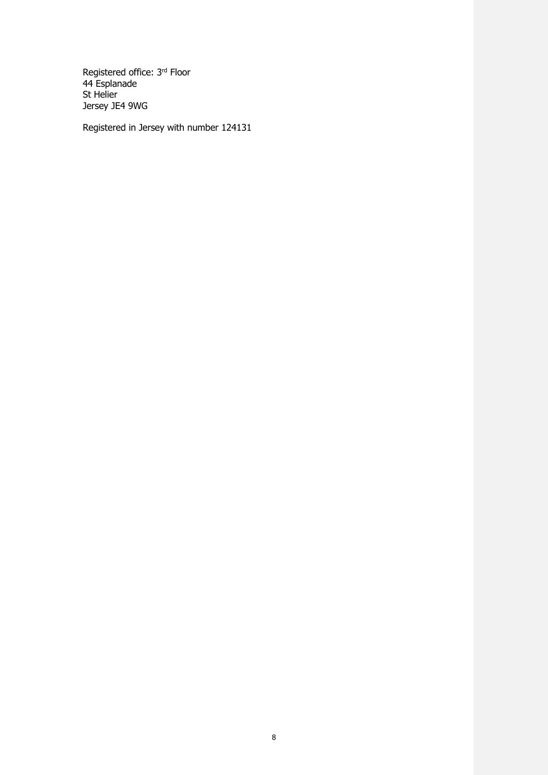Registered office: 3rd Floor 44 Esplanade St Helier Jersey JE4 9WG

Registered in Jersey with number 124131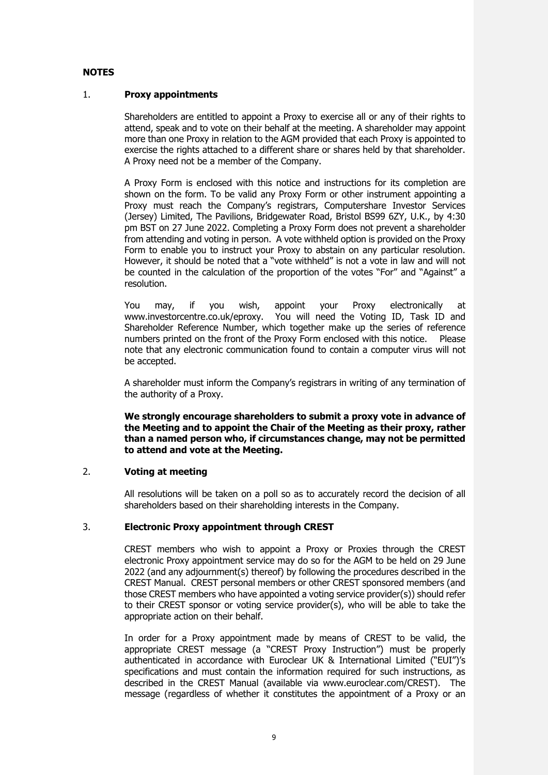# **NOTES**

## 1. **Proxy appointments**

Shareholders are entitled to appoint a Proxy to exercise all or any of their rights to attend, speak and to vote on their behalf at the meeting. A shareholder may appoint more than one Proxy in relation to the AGM provided that each Proxy is appointed to exercise the rights attached to a different share or shares held by that shareholder. A Proxy need not be a member of the Company.

A Proxy Form is enclosed with this notice and instructions for its completion are shown on the form. To be valid any Proxy Form or other instrument appointing a Proxy must reach the Company's registrars, Computershare Investor Services (Jersey) Limited, The Pavilions, Bridgewater Road, Bristol BS99 6ZY, U.K., by 4:30 pm BST on 27 June 2022. Completing a Proxy Form does not prevent a shareholder from attending and voting in person. A vote withheld option is provided on the Proxy Form to enable you to instruct your Proxy to abstain on any particular resolution. However, it should be noted that a "vote withheld" is not a vote in law and will not be counted in the calculation of the proportion of the votes "For" and "Against" a resolution.

You may, if you wish, appoint your Proxy electronically at www.investorcentre.co.uk/eproxy. You will need the Voting ID, Task ID and Shareholder Reference Number, which together make up the series of reference numbers printed on the front of the Proxy Form enclosed with this notice. Please note that any electronic communication found to contain a computer virus will not be accepted.

A shareholder must inform the Company's registrars in writing of any termination of the authority of a Proxy.

**We strongly encourage shareholders to submit a proxy vote in advance of the Meeting and to appoint the Chair of the Meeting as their proxy, rather than a named person who, if circumstances change, may not be permitted to attend and vote at the Meeting.**

## 2. **Voting at meeting**

All resolutions will be taken on a poll so as to accurately record the decision of all shareholders based on their shareholding interests in the Company.

## 3. **Electronic Proxy appointment through CREST**

CREST members who wish to appoint a Proxy or Proxies through the CREST electronic Proxy appointment service may do so for the AGM to be held on 29 June 2022 (and any adjournment(s) thereof) by following the procedures described in the CREST Manual. CREST personal members or other CREST sponsored members (and those CREST members who have appointed a voting service provider(s)) should refer to their CREST sponsor or voting service provider(s), who will be able to take the appropriate action on their behalf.

In order for a Proxy appointment made by means of CREST to be valid, the appropriate CREST message (a "CREST Proxy Instruction") must be properly authenticated in accordance with Euroclear UK & International Limited ("EUI")'s specifications and must contain the information required for such instructions, as described in the CREST Manual (available via www.euroclear.com/CREST). The message (regardless of whether it constitutes the appointment of a Proxy or an